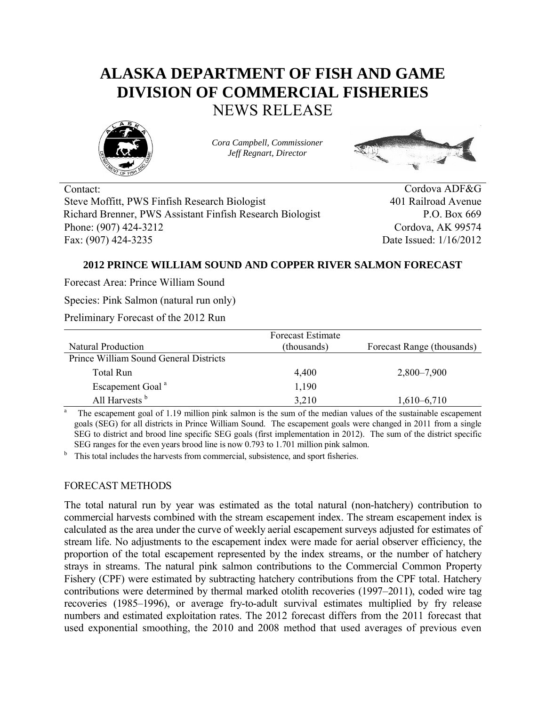# **ALASKA DEPARTMENT OF FISH AND GAME DIVISION OF COMMERCIAL FISHERIES** NEWS RELEASE



*Cora Campbell, Commissioner Jeff Regnart, Director*



Contact: Cordova ADF&G Steve Moffitt, PWS Finfish Research Biologist 401 Railroad Avenue Richard Brenner, PWS Assistant Finfish Research Biologist P.O. Box 669 Phone: (907) 424-3212 Cordova, AK 99574 Fax: (907) 424-3235 Date Issued: 1/16/2012

# **2012 PRINCE WILLIAM SOUND AND COPPER RIVER SALMON FORECAST**

Forecast Area: Prince William Sound

Species: Pink Salmon (natural run only)

Preliminary Forecast of the 2012 Run

|                                        | <b>Forecast Estimate</b> |                            |
|----------------------------------------|--------------------------|----------------------------|
| Natural Production                     | (thousands)              | Forecast Range (thousands) |
| Prince William Sound General Districts |                          |                            |
| Total Run                              | 4,400                    | 2,800–7,900                |
| Escapement Goal <sup>a</sup>           | 1,190                    |                            |
| All Harvests <sup>b</sup>              | 3,210                    | $1,610-6,710$              |

a The escapement goal of 1.19 million pink salmon is the sum of the median values of the sustainable escapement goals (SEG) for all districts in Prince William Sound. The escapement goals were changed in 2011 from a single SEG to district and brood line specific SEG goals (first implementation in 2012). The sum of the district specific SEG ranges for the even years brood line is now 0.793 to 1.701 million pink salmon.

<sup>b</sup> This total includes the harvests from commercial, subsistence, and sport fisheries.

# FORECAST METHODS

The total natural run by year was estimated as the total natural (non-hatchery) contribution to commercial harvests combined with the stream escapement index. The stream escapement index is calculated as the area under the curve of weekly aerial escapement surveys adjusted for estimates of stream life. No adjustments to the escapement index were made for aerial observer efficiency, the proportion of the total escapement represented by the index streams, or the number of hatchery strays in streams. The natural pink salmon contributions to the Commercial Common Property Fishery (CPF) were estimated by subtracting hatchery contributions from the CPF total. Hatchery contributions were determined by thermal marked otolith recoveries (1997–2011), coded wire tag recoveries (1985–1996), or average fry-to-adult survival estimates multiplied by fry release numbers and estimated exploitation rates. The 2012 forecast differs from the 2011 forecast that used exponential smoothing, the 2010 and 2008 method that used averages of previous even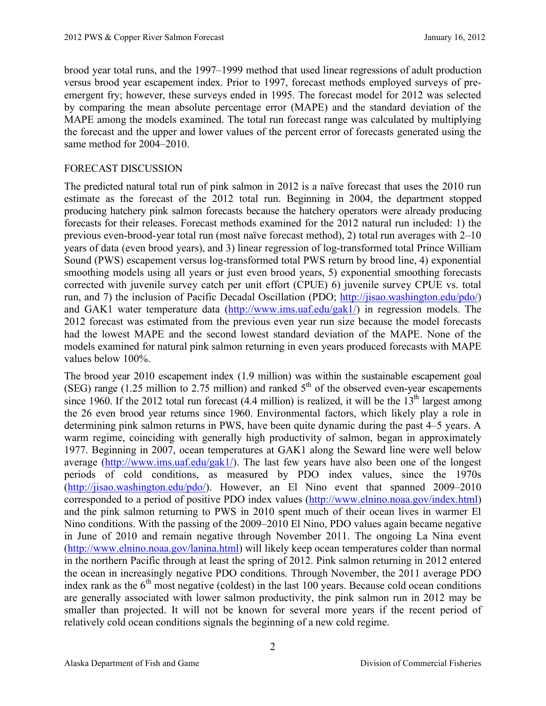brood year total runs, and the 1997–1999 method that used linear regressions of adult production versus brood year escapement index. Prior to 1997, forecast methods employed surveys of preemergent fry; however, these surveys ended in 1995. The forecast model for 2012 was selected by comparing the mean absolute percentage error (MAPE) and the standard deviation of the MAPE among the models examined. The total run forecast range was calculated by multiplying the forecast and the upper and lower values of the percent error of forecasts generated using the same method for 2004–2010.

## FORECAST DISCUSSION

The predicted natural total run of pink salmon in 2012 is a naïve forecast that uses the 2010 run estimate as the forecast of the 2012 total run. Beginning in 2004, the department stopped producing hatchery pink salmon forecasts because the hatchery operators were already producing forecasts for their releases. Forecast methods examined for the 2012 natural run included: 1) the previous even-brood-year total run (most naïve forecast method), 2) total run averages with 2–10 years of data (even brood years), and 3) linear regression of log-transformed total Prince William Sound (PWS) escapement versus log-transformed total PWS return by brood line, 4) exponential smoothing models using all years or just even brood years, 5) exponential smoothing forecasts corrected with juvenile survey catch per unit effort (CPUE) 6) juvenile survey CPUE vs. total run, and 7) the inclusion of Pacific Decadal Oscillation (PDO; http://jisao.washington.edu/pdo/) and GAK1 water temperature data (http://www.ims.uaf.edu/gak1/) in regression models. The 2012 forecast was estimated from the previous even year run size because the model forecasts had the lowest MAPE and the second lowest standard deviation of the MAPE. None of the models examined for natural pink salmon returning in even years produced forecasts with MAPE values below 100%.

The brood year 2010 escapement index (1.9 million) was within the sustainable escapement goal (SEG) range (1.25 million to 2.75 million) and ranked  $5<sup>th</sup>$  of the observed even-year escapements since 1960. If the 2012 total run forecast  $(4.4 \text{ million})$  is realized, it will be the 13<sup>th</sup> largest among the 26 even brood year returns since 1960. Environmental factors, which likely play a role in determining pink salmon returns in PWS, have been quite dynamic during the past 4–5 years. A warm regime, coinciding with generally high productivity of salmon, began in approximately 1977. Beginning in 2007, ocean temperatures at GAK1 along the Seward line were well below average (http://www.ims.uaf.edu/gak1/). The last few years have also been one of the longest periods of cold conditions, as measured by PDO index values, since the 1970s (http://jisao.washington.edu/pdo/). However, an El Nino event that spanned 2009–2010 corresponded to a period of positive PDO index values (http://www.elnino.noaa.gov/index.html) and the pink salmon returning to PWS in 2010 spent much of their ocean lives in warmer El Nino conditions. With the passing of the 2009–2010 El Nino, PDO values again became negative in June of 2010 and remain negative through November 2011. The ongoing La Nina event (http://www.elnino.noaa.gov/lanina.html) will likely keep ocean temperatures colder than normal in the northern Pacific through at least the spring of 2012. Pink salmon returning in 2012 entered the ocean in increasingly negative PDO conditions. Through November, the 2011 average PDO index rank as the  $6<sup>th</sup>$  most negative (coldest) in the last 100 years. Because cold ocean conditions are generally associated with lower salmon productivity, the pink salmon run in 2012 may be smaller than projected. It will not be known for several more years if the recent period of relatively cold ocean conditions signals the beginning of a new cold regime.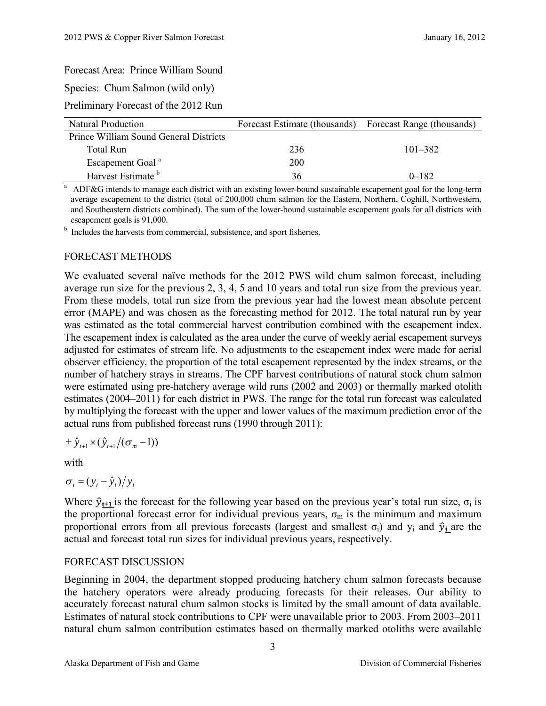## Forecast Area: Prince William Sound

Species: Chum Salmon (wild only)

Preliminary Forecast of the 2012 Run

| <b>Natural Production</b>              | Forecast Estimate (thousands) | Forecast Range (thousands) |
|----------------------------------------|-------------------------------|----------------------------|
| Prince William Sound General Districts |                               |                            |
| Total Run                              | 236                           | $101 - 382$                |
| Escapement Goal <sup>a</sup>           | 200                           |                            |
| Harvest Estimate <sup>b</sup>          | 36                            | $0 - 182$                  |

<sup>a</sup> ADF&G intends to manage each district with an existing lower-bound sustainable escapement goal for the long-term average escapement to the district (total of 200,000 chum salmon for the Eastern, Northern, Coghill, Northwestern, and Southeastern districts combined). The sum of the lower-bound sustainable escapement goals for all districts with escapement goals is 91,000.

**b** Includes the harvests from commercial, subsistence, and sport fisheries.

## FORECAST METHODS

We evaluated several naïve methods for the 2012 PWS wild chum salmon forecast, including average run size for the previous 2, 3, 4, 5 and 10 years and total run size from the previous year. From these models, total run size from the previous year had the lowest mean absolute percent error (MAPE) and was chosen as the forecasting method for 2012. The total natural run by year was estimated as the total commercial harvest contribution combined with the escapement index. The escapement index is calculated as the area under the curve of weekly aerial escapement surveys adjusted for estimates of stream life. No adjustments to the escapement index were made for aerial observer efficiency, the proportion of the total escapement represented by the index streams, or the number of hatchery strays in streams. The CPF harvest contributions of natural stock chum salmon were estimated using pre-hatchery average wild runs (2002 and 2003) or thermally marked otolith estimates (2004–2011) for each district in PWS. The range for the total run forecast was calculated by multiplying the forecast with the upper and lower values of the maximum prediction error of the actual runs from published forecast runs (1990 through 2011):

$$
\pm \hat{y}_{t+1} \times (\hat{y}_{t+1}/(\sigma_m - 1))
$$

with

$$
\sigma_i = (y_i - \hat{y}_i)/y_i
$$

Where  $\hat{y}_{t+1}$  is the forecast for the following year based on the previous year's total run size,  $\sigma_i$  is the proportional forecast error for individual previous years,  $\sigma_m$  is the minimum and maximum proportional errors from all previous forecasts (largest and smallest  $\sigma_i$ ) and  $\gamma_i$  and  $\hat{\gamma}_i$  are the actual and forecast total run sizes for individual previous years, respectively.

#### FORECAST DISCUSSION

Beginning in 2004, the department stopped producing hatchery chum salmon forecasts because the hatchery operators were already producing forecasts for their releases. Our ability to accurately forecast natural chum salmon stocks is limited by the small amount of data available. Estimates of natural stock contributions to CPF were unavailable prior to 2003. From 2003–2011 natural chum salmon contribution estimates based on thermally marked otoliths were available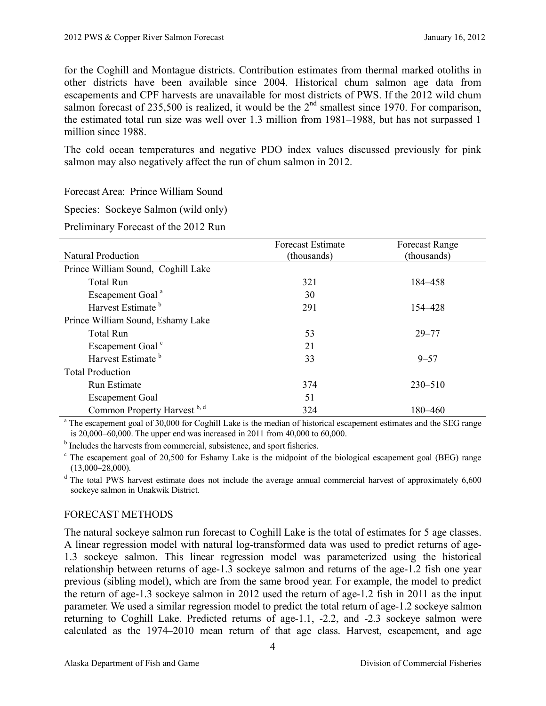for the Coghill and Montague districts. Contribution estimates from thermal marked otoliths in other districts have been available since 2004. Historical chum salmon age data from escapements and CPF harvests are unavailable for most districts of PWS. If the 2012 wild chum salmon forecast of 235,500 is realized, it would be the  $2<sup>nd</sup>$  smallest since 1970. For comparison, the estimated total run size was well over 1.3 million from 1981–1988, but has not surpassed 1 million since 1988.

The cold ocean temperatures and negative PDO index values discussed previously for pink salmon may also negatively affect the run of chum salmon in 2012.

Forecast Area: Prince William Sound

Species: Sockeye Salmon (wild only)

Preliminary Forecast of the 2012 Run

|                                    | <b>Forecast Estimate</b> | <b>Forecast Range</b> |
|------------------------------------|--------------------------|-----------------------|
| <b>Natural Production</b>          | (thousands)              | (thousands)           |
| Prince William Sound, Coghill Lake |                          |                       |
| <b>Total Run</b>                   | 321                      | 184–458               |
| Escapement Goal <sup>a</sup>       | 30                       |                       |
| Harvest Estimate <sup>b</sup>      | 291                      | 154–428               |
| Prince William Sound, Eshamy Lake  |                          |                       |
| <b>Total Run</b>                   | 53                       | $29 - 77$             |
| Escapement Goal <sup>c</sup>       | 21                       |                       |
| Harvest Estimate <sup>b</sup>      | 33                       | $9 - 57$              |
| <b>Total Production</b>            |                          |                       |
| Run Estimate                       | 374                      | $230 - 510$           |
| <b>Escapement Goal</b>             | 51                       |                       |
| Common Property Harvest b, d       | 324                      | 180–460               |

<sup>a</sup> The escapement goal of 30,000 for Coghill Lake is the median of historical escapement estimates and the SEG range is 20,000–60,000. The upper end was increased in 2011 from 40,000 to 60,000.

<sup>b</sup> Includes the harvests from commercial, subsistence, and sport fisheries.

 $c$  The escapement goal of 20,500 for Eshamy Lake is the midpoint of the biological escapement goal (BEG) range (13,000–28,000).

<sup>d</sup> The total PWS harvest estimate does not include the average annual commercial harvest of approximately 6,600 sockeye salmon in Unakwik District.

#### FORECAST METHODS

The natural sockeye salmon run forecast to Coghill Lake is the total of estimates for 5 age classes. A linear regression model with natural log-transformed data was used to predict returns of age-1.3 sockeye salmon. This linear regression model was parameterized using the historical relationship between returns of age-1.3 sockeye salmon and returns of the age-1.2 fish one year previous (sibling model), which are from the same brood year. For example, the model to predict the return of age-1.3 sockeye salmon in 2012 used the return of age-1.2 fish in 2011 as the input parameter. We used a similar regression model to predict the total return of age-1.2 sockeye salmon returning to Coghill Lake. Predicted returns of age-1.1, -2.2, and -2.3 sockeye salmon were calculated as the 1974–2010 mean return of that age class. Harvest, escapement, and age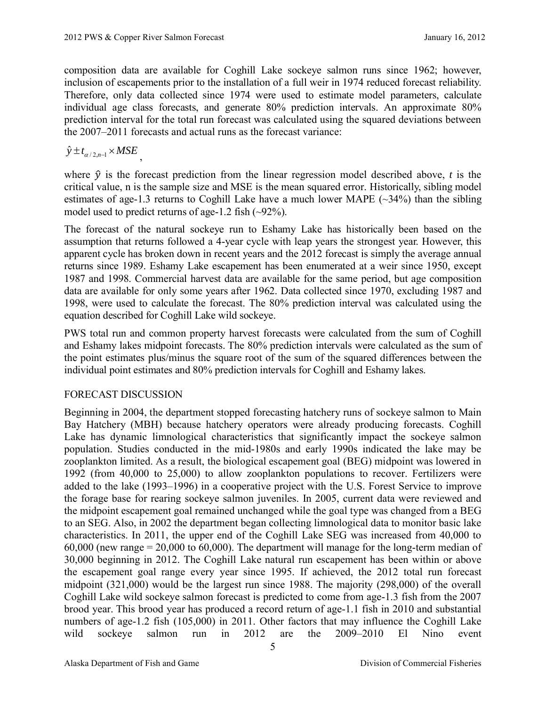composition data are available for Coghill Lake sockeye salmon runs since 1962; however, inclusion of escapements prior to the installation of a full weir in 1974 reduced forecast reliability. Therefore, only data collected since 1974 were used to estimate model parameters, calculate individual age class forecasts, and generate 80% prediction intervals. An approximate 80% prediction interval for the total run forecast was calculated using the squared deviations between the 2007–2011 forecasts and actual runs as the forecast variance:

 $\hat{y} \pm t_{\alpha/2,n-1} \times MSE$ ,

where  $\hat{y}$  is the forecast prediction from the linear regression model described above, *t* is the critical value, n is the sample size and MSE is the mean squared error. Historically, sibling model estimates of age-1.3 returns to Coghill Lake have a much lower MAPE  $(\sim]34\%$  than the sibling model used to predict returns of age-1.2 fish (~92%).

The forecast of the natural sockeye run to Eshamy Lake has historically been based on the assumption that returns followed a 4-year cycle with leap years the strongest year. However, this apparent cycle has broken down in recent years and the 2012 forecast is simply the average annual returns since 1989. Eshamy Lake escapement has been enumerated at a weir since 1950, except 1987 and 1998. Commercial harvest data are available for the same period, but age composition data are available for only some years after 1962. Data collected since 1970, excluding 1987 and 1998, were used to calculate the forecast. The 80% prediction interval was calculated using the equation described for Coghill Lake wild sockeye.

PWS total run and common property harvest forecasts were calculated from the sum of Coghill and Eshamy lakes midpoint forecasts. The 80% prediction intervals were calculated as the sum of the point estimates plus/minus the square root of the sum of the squared differences between the individual point estimates and 80% prediction intervals for Coghill and Eshamy lakes.

# FORECAST DISCUSSION

Beginning in 2004, the department stopped forecasting hatchery runs of sockeye salmon to Main Bay Hatchery (MBH) because hatchery operators were already producing forecasts. Coghill Lake has dynamic limnological characteristics that significantly impact the sockeye salmon population. Studies conducted in the mid-1980s and early 1990s indicated the lake may be zooplankton limited. As a result, the biological escapement goal (BEG) midpoint was lowered in 1992 (from 40,000 to 25,000) to allow zooplankton populations to recover. Fertilizers were added to the lake (1993–1996) in a cooperative project with the U.S. Forest Service to improve the forage base for rearing sockeye salmon juveniles. In 2005, current data were reviewed and the midpoint escapement goal remained unchanged while the goal type was changed from a BEG to an SEG. Also, in 2002 the department began collecting limnological data to monitor basic lake characteristics. In 2011, the upper end of the Coghill Lake SEG was increased from 40,000 to 60,000 (new range = 20,000 to 60,000). The department will manage for the long-term median of 30,000 beginning in 2012. The Coghill Lake natural run escapement has been within or above the escapement goal range every year since 1995. If achieved, the 2012 total run forecast midpoint (321,000) would be the largest run since 1988. The majority (298,000) of the overall Coghill Lake wild sockeye salmon forecast is predicted to come from age-1.3 fish from the 2007 brood year. This brood year has produced a record return of age-1.1 fish in 2010 and substantial numbers of age-1.2 fish (105,000) in 2011. Other factors that may influence the Coghill Lake wild sockeye salmon run in 2012 are the 2009–2010 El Nino event

Alaska Department of Fish and Game Division of Commercial Fisheries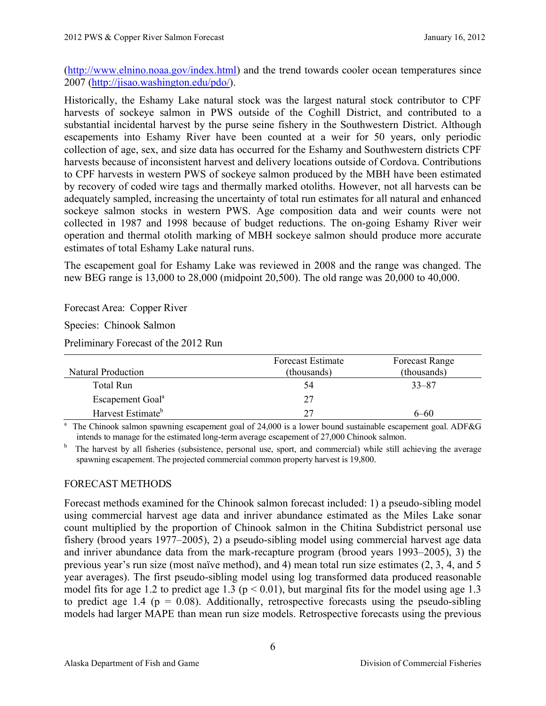(http://www.elnino.noaa.gov/index.html) and the trend towards cooler ocean temperatures since 2007 (http://jisao.washington.edu/pdo/).

Historically, the Eshamy Lake natural stock was the largest natural stock contributor to CPF harvests of sockeye salmon in PWS outside of the Coghill District, and contributed to a substantial incidental harvest by the purse seine fishery in the Southwestern District. Although escapements into Eshamy River have been counted at a weir for 50 years, only periodic collection of age, sex, and size data has occurred for the Eshamy and Southwestern districts CPF harvests because of inconsistent harvest and delivery locations outside of Cordova. Contributions to CPF harvests in western PWS of sockeye salmon produced by the MBH have been estimated by recovery of coded wire tags and thermally marked otoliths. However, not all harvests can be adequately sampled, increasing the uncertainty of total run estimates for all natural and enhanced sockeye salmon stocks in western PWS. Age composition data and weir counts were not collected in 1987 and 1998 because of budget reductions. The on-going Eshamy River weir operation and thermal otolith marking of MBH sockeye salmon should produce more accurate estimates of total Eshamy Lake natural runs.

The escapement goal for Eshamy Lake was reviewed in 2008 and the range was changed. The new BEG range is 13,000 to 28,000 (midpoint 20,500). The old range was 20,000 to 40,000.

Forecast Area: Copper River

Species: Chinook Salmon

Preliminary Forecast of the 2012 Run

|                               | <b>Forecast Estimate</b> | <b>Forecast Range</b> |
|-------------------------------|--------------------------|-----------------------|
| Natural Production            | (thousands)              | (thousands)           |
| Total Run                     | 54                       | $33 - 87$             |
| Escapement Goal <sup>a</sup>  | 27                       |                       |
| Harvest Estimate <sup>b</sup> | つつ                       | $6 - 60$              |

<sup>a</sup> The Chinook salmon spawning escapement goal of 24,000 is a lower bound sustainable escapement goal. ADF&G intends to manage for the estimated long-term average escapement of 27,000 Chinook salmon.

b The harvest by all fisheries (subsistence, personal use, sport, and commercial) while still achieving the average spawning escapement. The projected commercial common property harvest is 19,800.

# FORECAST METHODS

Forecast methods examined for the Chinook salmon forecast included: 1) a pseudo-sibling model using commercial harvest age data and inriver abundance estimated as the Miles Lake sonar count multiplied by the proportion of Chinook salmon in the Chitina Subdistrict personal use fishery (brood years 1977–2005), 2) a pseudo-sibling model using commercial harvest age data and inriver abundance data from the mark-recapture program (brood years 1993–2005), 3) the previous year's run size (most naïve method), and 4) mean total run size estimates (2, 3, 4, and 5 year averages). The first pseudo-sibling model using log transformed data produced reasonable model fits for age 1.2 to predict age 1.3 ( $p < 0.01$ ), but marginal fits for the model using age 1.3 to predict age 1.4 ( $p = 0.08$ ). Additionally, retrospective forecasts using the pseudo-sibling models had larger MAPE than mean run size models. Retrospective forecasts using the previous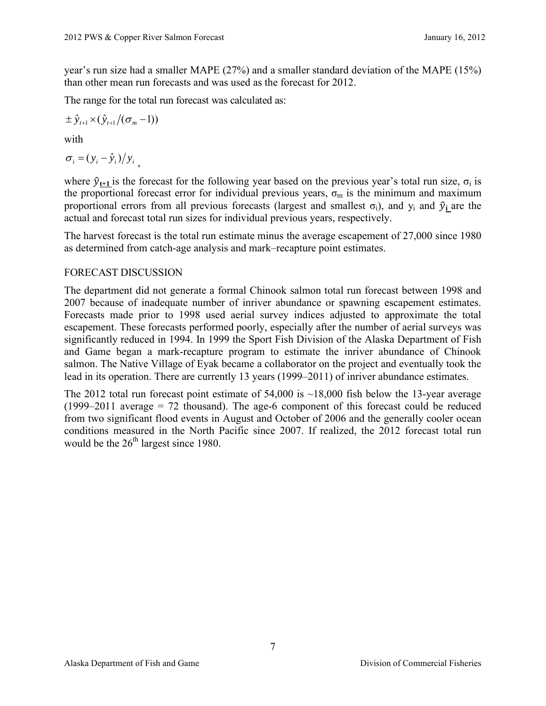year's run size had a smaller MAPE (27%) and a smaller standard deviation of the MAPE (15%) than other mean run forecasts and was used as the forecast for 2012.

The range for the total run forecast was calculated as:

$$
\pm \hat{y}_{t+1} \times (\hat{y}_{t+1}/(\sigma_m - 1))
$$

with

$$
\sigma_i = (y_i - \hat{y}_i)/y_i
$$

where  $\hat{y}_{t+1}$  is the forecast for the following year based on the previous year's total run size,  $\sigma_i$  is the proportional forecast error for individual previous years,  $\sigma_m$  is the minimum and maximum proportional errors from all previous forecasts (largest and smallest  $\sigma_i$ ), and  $\gamma_i$  and  $\hat{\gamma}_i$  are the actual and forecast total run sizes for individual previous years, respectively.

The harvest forecast is the total run estimate minus the average escapement of 27,000 since 1980 as determined from catch-age analysis and mark–recapture point estimates.

## FORECAST DISCUSSION

The department did not generate a formal Chinook salmon total run forecast between 1998 and 2007 because of inadequate number of inriver abundance or spawning escapement estimates. Forecasts made prior to 1998 used aerial survey indices adjusted to approximate the total escapement. These forecasts performed poorly, especially after the number of aerial surveys was significantly reduced in 1994. In 1999 the Sport Fish Division of the Alaska Department of Fish and Game began a mark-recapture program to estimate the inriver abundance of Chinook salmon. The Native Village of Eyak became a collaborator on the project and eventually took the lead in its operation. There are currently 13 years (1999–2011) of inriver abundance estimates.

The 2012 total run forecast point estimate of  $54,000$  is  $~18,000$  fish below the 13-year average  $(1999-2011$  average = 72 thousand). The age-6 component of this forecast could be reduced from two significant flood events in August and October of 2006 and the generally cooler ocean conditions measured in the North Pacific since 2007. If realized, the 2012 forecast total run would be the  $26<sup>th</sup>$  largest since 1980.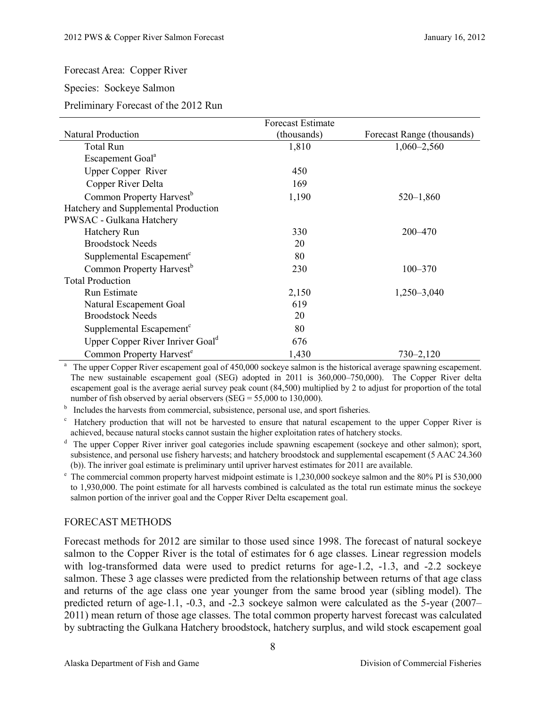## Forecast Area: Copper River

#### Species: Sockeye Salmon

Preliminary Forecast of the 2012 Run

|                                              | <b>Forecast Estimate</b> |                            |
|----------------------------------------------|--------------------------|----------------------------|
| <b>Natural Production</b>                    | (thousands)              | Forecast Range (thousands) |
| <b>Total Run</b>                             | 1,810                    | $1,060 - 2,560$            |
| Escapement Goal <sup>a</sup>                 |                          |                            |
| <b>Upper Copper River</b>                    | 450                      |                            |
| Copper River Delta                           | 169                      |                            |
| Common Property Harvest <sup>b</sup>         | 1,190                    | $520 - 1,860$              |
| Hatchery and Supplemental Production         |                          |                            |
| PWSAC - Gulkana Hatchery                     |                          |                            |
| Hatchery Run                                 | 330                      | 200-470                    |
| <b>Broodstock Needs</b>                      | 20                       |                            |
| Supplemental Escapement <sup>c</sup>         | 80                       |                            |
| Common Property Harvest <sup>b</sup>         | 230                      | $100 - 370$                |
| <b>Total Production</b>                      |                          |                            |
| Run Estimate                                 | 2,150                    | 1,250-3,040                |
| Natural Escapement Goal                      | 619                      |                            |
| <b>Broodstock Needs</b>                      | 20                       |                            |
| Supplemental Escapement <sup>c</sup>         | 80                       |                            |
| Upper Copper River Inriver Goal <sup>d</sup> | 676                      |                            |
| Common Property Harvest <sup>e</sup>         | 1,430                    | $730 - 2,120$              |

<sup>a</sup> The upper Copper River escapement goal of 450,000 sockeye salmon is the historical average spawning escapement. The new sustainable escapement goal (SEG) adopted in 2011 is 360,000–750,000). The Copper River delta escapement goal is the average aerial survey peak count (84,500) multiplied by 2 to adjust for proportion of the total number of fish observed by aerial observers (SEG = 55,000 to 130,000).

<sup>b</sup> Includes the harvests from commercial, subsistence, personal use, and sport fisheries.

<sup>c</sup> Hatchery production that will not be harvested to ensure that natural escapement to the upper Copper River is achieved, because natural stocks cannot sustain the higher exploitation rates of hatchery stocks.

 $d$  The upper Copper River inriver goal categories include spawning escapement (sockeye and other salmon); sport, subsistence, and personal use fishery harvests; and hatchery broodstock and supplemental escapement (5 AAC 24.360 (b)). The inriver goal estimate is preliminary until upriver harvest estimates for 2011 are available.

 $e$  The commercial common property harvest midpoint estimate is 1,230,000 sockeye salmon and the 80% PI is 530,000 to 1,930,000. The point estimate for all harvests combined is calculated as the total run estimate minus the sockeye salmon portion of the inriver goal and the Copper River Delta escapement goal.

# FORECAST METHODS

Forecast methods for 2012 are similar to those used since 1998. The forecast of natural sockeye salmon to the Copper River is the total of estimates for 6 age classes. Linear regression models with log-transformed data were used to predict returns for age-1.2, -1.3, and -2.2 sockeye salmon. These 3 age classes were predicted from the relationship between returns of that age class and returns of the age class one year younger from the same brood year (sibling model). The predicted return of age-1.1, -0.3, and -2.3 sockeye salmon were calculated as the 5-year (2007– 2011) mean return of those age classes. The total common property harvest forecast was calculated by subtracting the Gulkana Hatchery broodstock, hatchery surplus, and wild stock escapement goal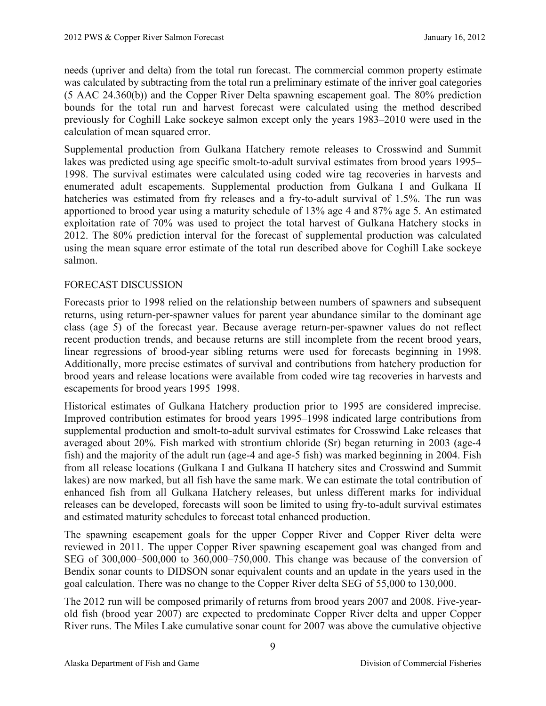needs (upriver and delta) from the total run forecast. The commercial common property estimate was calculated by subtracting from the total run a preliminary estimate of the inriver goal categories (5 AAC 24.360(b)) and the Copper River Delta spawning escapement goal. The 80% prediction bounds for the total run and harvest forecast were calculated using the method described previously for Coghill Lake sockeye salmon except only the years 1983–2010 were used in the calculation of mean squared error.

Supplemental production from Gulkana Hatchery remote releases to Crosswind and Summit lakes was predicted using age specific smolt-to-adult survival estimates from brood years 1995– 1998. The survival estimates were calculated using coded wire tag recoveries in harvests and enumerated adult escapements. Supplemental production from Gulkana I and Gulkana II hatcheries was estimated from fry releases and a fry-to-adult survival of 1.5%. The run was apportioned to brood year using a maturity schedule of 13% age 4 and 87% age 5. An estimated exploitation rate of 70% was used to project the total harvest of Gulkana Hatchery stocks in 2012. The 80% prediction interval for the forecast of supplemental production was calculated using the mean square error estimate of the total run described above for Coghill Lake sockeye salmon.

## FORECAST DISCUSSION

Forecasts prior to 1998 relied on the relationship between numbers of spawners and subsequent returns, using return-per-spawner values for parent year abundance similar to the dominant age class (age 5) of the forecast year. Because average return-per-spawner values do not reflect recent production trends, and because returns are still incomplete from the recent brood years, linear regressions of brood-year sibling returns were used for forecasts beginning in 1998. Additionally, more precise estimates of survival and contributions from hatchery production for brood years and release locations were available from coded wire tag recoveries in harvests and escapements for brood years 1995–1998.

Historical estimates of Gulkana Hatchery production prior to 1995 are considered imprecise. Improved contribution estimates for brood years 1995–1998 indicated large contributions from supplemental production and smolt-to-adult survival estimates for Crosswind Lake releases that averaged about 20%. Fish marked with strontium chloride (Sr) began returning in 2003 (age-4 fish) and the majority of the adult run (age-4 and age-5 fish) was marked beginning in 2004. Fish from all release locations (Gulkana I and Gulkana II hatchery sites and Crosswind and Summit lakes) are now marked, but all fish have the same mark. We can estimate the total contribution of enhanced fish from all Gulkana Hatchery releases, but unless different marks for individual releases can be developed, forecasts will soon be limited to using fry-to-adult survival estimates and estimated maturity schedules to forecast total enhanced production.

The spawning escapement goals for the upper Copper River and Copper River delta were reviewed in 2011. The upper Copper River spawning escapement goal was changed from and SEG of 300,000–500,000 to 360,000–750,000. This change was because of the conversion of Bendix sonar counts to DIDSON sonar equivalent counts and an update in the years used in the goal calculation. There was no change to the Copper River delta SEG of 55,000 to 130,000.

The 2012 run will be composed primarily of returns from brood years 2007 and 2008. Five-yearold fish (brood year 2007) are expected to predominate Copper River delta and upper Copper River runs. The Miles Lake cumulative sonar count for 2007 was above the cumulative objective